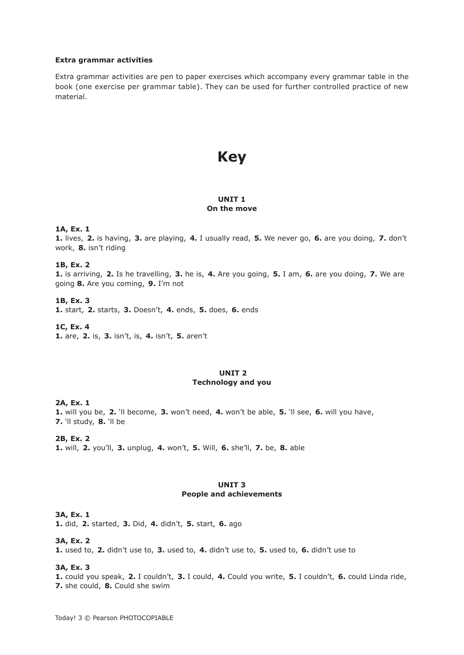#### **Extra grammar activities**

Extra grammar activities are pen to paper exercises which accompany every grammar table in the book (one exercise per grammar table). They can be used for further controlled practice of new material.

# **Key**

## **UNIT 1 On the move**

## **1A, Ex. 1**

**1.** lives, **2.** is having, **3.** are playing, **4.** I usually read, **5.** We never go, **6.** are you doing, **7.** don't work, **8.** isn't riding

#### **1B, Ex. 2**

**1.** is arriving, **2.** Is he travelling, **3.** he is, **4.** Are you going, **5.** I am, **6.** are you doing, **7.** We are going **8.** Are you coming, **9.** I'm not

## **1B, Ex. 3**

**1.** start, **2.** starts, **3.** Doesn't, **4.** ends, **5.** does, **6.** ends

**1C, Ex. 4**

**1.** are, **2.** is, **3.** isn't, is, **4.** isn't, **5.** aren't

## **UNIT 2 Technology and you**

**2A, Ex. 1**

**1.** will you be, **2.** 'll become, **3.** won't need, **4.** won't be able, **5.** 'll see, **6.** will you have, **7.** 'll study, **8.** 'll be

**2B, Ex. 2**

**1.** will, **2.** you'll, **3.** unplug, **4.** won't, **5.** Will, **6.** she'll, **7.** be, **8.** able

## **UNIT 3 People and achievements**

## **3A, Ex. 1**

**1.** did, **2.** started, **3.** Did, **4.** didn't, **5.** start, **6.** ago

#### **3A, Ex. 2**

**1.** used to, **2.** didn't use to, **3.** used to, **4.** didn't use to, **5.** used to, **6.** didn't use to

#### **3A, Ex. 3**

**1.** could you speak, **2.** I couldn't, **3.** I could, **4.** Could you write, **5.** I couldn't, **6.** could Linda ride, **7.** she could, **8.** Could she swim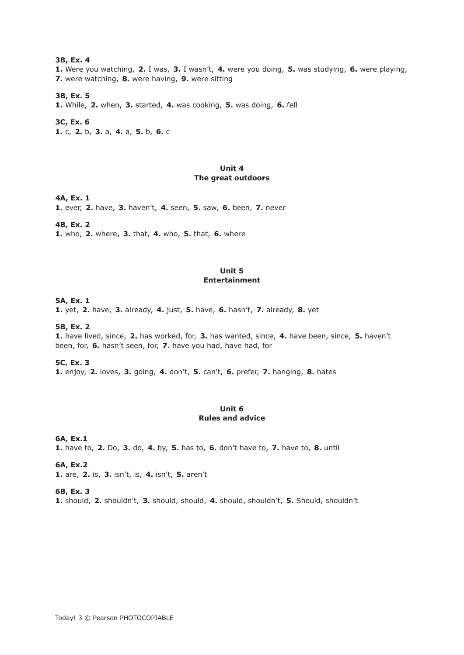**3B, Ex. 4 1.** Were you watching, **2.** I was, **3.** I wasn't, **4.** were you doing, **5.** was studying, **6.** were playing, **7.** were watching, **8.** were having, **9.** were sitting

## **3B, Ex. 5**

**1.** While, **2.** when, **3.** started, **4.** was cooking, **5.** was doing, **6.** fell

**3C, Ex. 6 1.** c, **2.** b, **3.** a, **4.** a, **5.** b, **6.** c

## **Unit 4 The great outdoors**

#### **4A, Ex. 1**

**1.** ever, **2.** have, **3.** haven't, **4.** seen, **5.** saw, **6.** been, **7.** never

#### **4B, Ex. 2**

**1.** who, **2.** where, **3.** that, **4.** who, **5.** that, **6.** where

#### **Unit 5 Entertainment**

#### **5A, Ex. 1**

**1.** yet, **2.** have, **3.** already, **4.** just, **5.** have, **6.** hasn't, **7.** already, **8.** yet

## **5B, Ex. 2**

**1.** have lived, since, **2.** has worked, for, **3.** has wanted, since, **4.** have been, since, **5.** haven't been, for, **6.** hasn't seen, for, **7.** have you had, have had, for

#### **5C, Ex. 3**

**1.** enjoy, **2.** loves, **3.** going, **4.** don't, **5.** can't, **6.** prefer, **7.** hanging, **8.** hates

## **Unit 6 Rules and advice**

## **6A, Ex.1**

**1.** have to, **2.** Do, **3.** do, **4.** by, **5.** has to, **6.** don't have to, **7.** have to, **8.** until

## **6A, Ex.2**

**1.** are, **2.** is, **3.** isn't, is, **4.** isn't, **5.** aren't

## **6B, Ex. 3**

**1.** should, **2.** shouldn't, **3.** should, should, **4.** should, shouldn't, **5.** Should, shouldn't